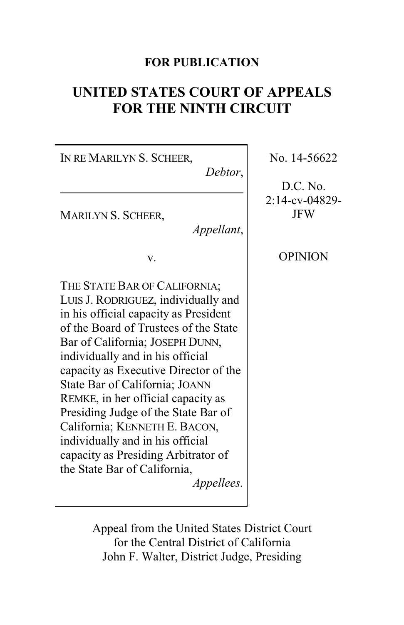## **FOR PUBLICATION**

# **UNITED STATES COURT OF APPEALS FOR THE NINTH CIRCUIT**

| IN RE MARILYN S. SCHEER,                                                                                                                                                                                                                                                                                                                                                                                                                                                                                                                              | No. 14-56622   |
|-------------------------------------------------------------------------------------------------------------------------------------------------------------------------------------------------------------------------------------------------------------------------------------------------------------------------------------------------------------------------------------------------------------------------------------------------------------------------------------------------------------------------------------------------------|----------------|
| Debtor,                                                                                                                                                                                                                                                                                                                                                                                                                                                                                                                                               | D.C. No.       |
| MARILYN S. SCHEER,                                                                                                                                                                                                                                                                                                                                                                                                                                                                                                                                    | 2:14-cv-04829- |
| Appellant,                                                                                                                                                                                                                                                                                                                                                                                                                                                                                                                                            | <b>JFW</b>     |
| v.                                                                                                                                                                                                                                                                                                                                                                                                                                                                                                                                                    | <b>OPINION</b> |
| THE STATE BAR OF CALIFORNIA;<br>LUIS J. RODRIGUEZ, individually and<br>in his official capacity as President<br>of the Board of Trustees of the State<br>Bar of California; JOSEPH DUNN,<br>individually and in his official<br>capacity as Executive Director of the<br>State Bar of California; JOANN<br>REMKE, in her official capacity as<br>Presiding Judge of the State Bar of<br>California; KENNETH E. BACON,<br>individually and in his official<br>capacity as Presiding Arbitrator of<br>the State Bar of California,<br><i>Appellees.</i> |                |

Appeal from the United States District Court for the Central District of California John F. Walter, District Judge, Presiding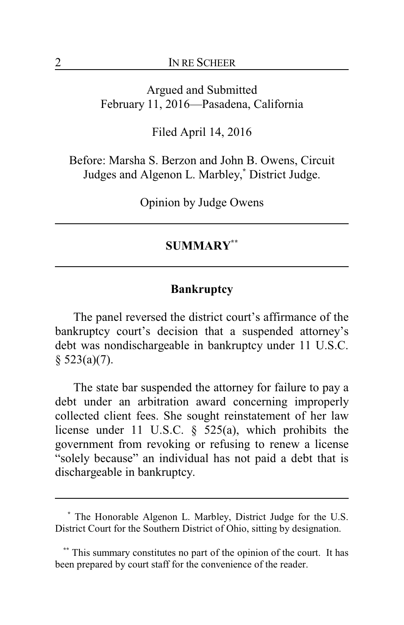Argued and Submitted February 11, 2016—Pasadena, California

Filed April 14, 2016

Before: Marsha S. Berzon and John B. Owens, Circuit Judges and Algenon L. Marbley, **\*** District Judge.

Opinion by Judge Owens

#### **SUMMARY\*\***

### **Bankruptcy**

The panel reversed the district court's affirmance of the bankruptcy court's decision that a suspended attorney's debt was nondischargeable in bankruptcy under 11 U.S.C.  $§$  523(a)(7).

The state bar suspended the attorney for failure to pay a debt under an arbitration award concerning improperly collected client fees. She sought reinstatement of her law license under 11 U.S.C. § 525(a), which prohibits the government from revoking or refusing to renew a license "solely because" an individual has not paid a debt that is dischargeable in bankruptcy.

**<sup>\*</sup>** The Honorable Algenon L. Marbley, District Judge for the U.S. District Court for the Southern District of Ohio, sitting by designation.

This summary constitutes no part of the opinion of the court. It has been prepared by court staff for the convenience of the reader.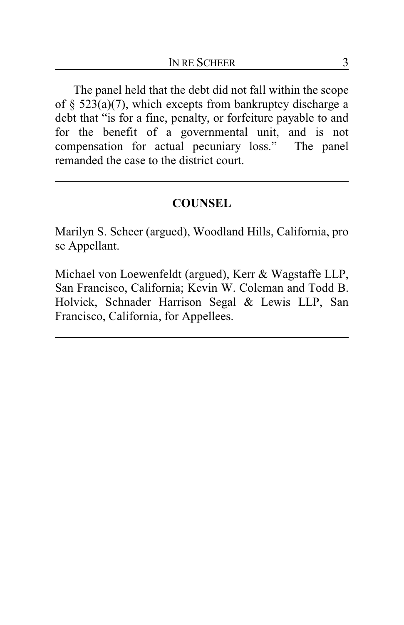The panel held that the debt did not fall within the scope of  $\S$  523(a)(7), which excepts from bankruptcy discharge a debt that "is for a fine, penalty, or forfeiture payable to and for the benefit of a governmental unit, and is not compensation for actual pecuniary loss." The panel remanded the case to the district court.

## **COUNSEL**

Marilyn S. Scheer (argued), Woodland Hills, California, pro se Appellant.

Michael von Loewenfeldt (argued), Kerr & Wagstaffe LLP, San Francisco, California; Kevin W. Coleman and Todd B. Holvick, Schnader Harrison Segal & Lewis LLP, San Francisco, California, for Appellees.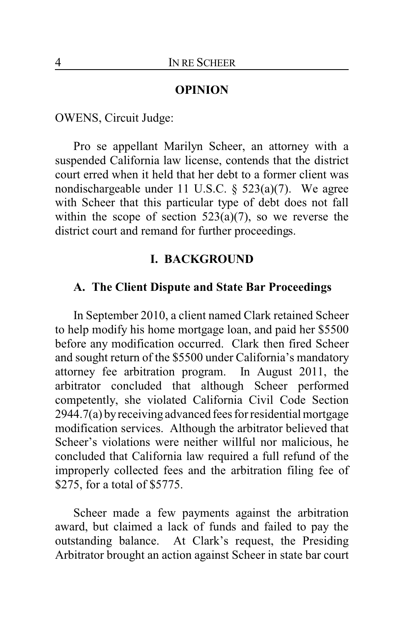#### **OPINION**

OWENS, Circuit Judge:

Pro se appellant Marilyn Scheer, an attorney with a suspended California law license, contends that the district court erred when it held that her debt to a former client was nondischargeable under 11 U.S.C. § 523(a)(7). We agree with Scheer that this particular type of debt does not fall within the scope of section  $523(a)(7)$ , so we reverse the district court and remand for further proceedings.

### **I. BACKGROUND**

#### **A. The Client Dispute and State Bar Proceedings**

In September 2010, a client named Clark retained Scheer to help modify his home mortgage loan, and paid her \$5500 before any modification occurred. Clark then fired Scheer and sought return of the \$5500 under California's mandatory attorney fee arbitration program. In August 2011, the arbitrator concluded that although Scheer performed competently, she violated California Civil Code Section 2944.7(a) byreceivingadvanced fees for residential mortgage modification services. Although the arbitrator believed that Scheer's violations were neither willful nor malicious, he concluded that California law required a full refund of the improperly collected fees and the arbitration filing fee of \$275, for a total of \$5775.

Scheer made a few payments against the arbitration award, but claimed a lack of funds and failed to pay the outstanding balance. At Clark's request, the Presiding Arbitrator brought an action against Scheer in state bar court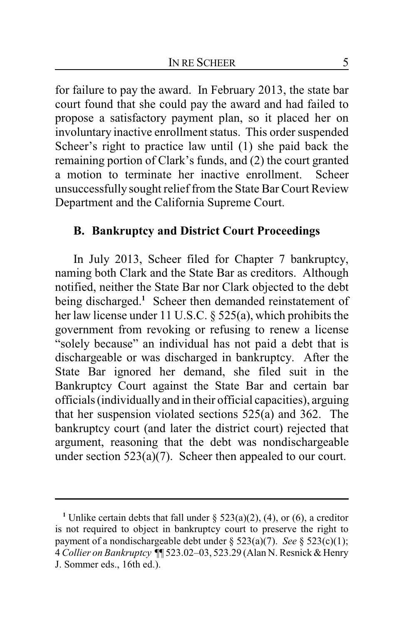for failure to pay the award. In February 2013, the state bar court found that she could pay the award and had failed to propose a satisfactory payment plan, so it placed her on involuntary inactive enrollment status. This order suspended Scheer's right to practice law until (1) she paid back the remaining portion of Clark's funds, and (2) the court granted a motion to terminate her inactive enrollment. Scheer unsuccessfully sought relief from the State Bar Court Review Department and the California Supreme Court.

# **B. Bankruptcy and District Court Proceedings**

In July 2013, Scheer filed for Chapter 7 bankruptcy, naming both Clark and the State Bar as creditors. Although notified, neither the State Bar nor Clark objected to the debt being discharged.**<sup>1</sup>** Scheer then demanded reinstatement of her law license under 11 U.S.C. § 525(a), which prohibits the government from revoking or refusing to renew a license "solely because" an individual has not paid a debt that is dischargeable or was discharged in bankruptcy. After the State Bar ignored her demand, she filed suit in the Bankruptcy Court against the State Bar and certain bar officials (individually and in their official capacities), arguing that her suspension violated sections 525(a) and 362. The bankruptcy court (and later the district court) rejected that argument, reasoning that the debt was nondischargeable under section 523(a)(7). Scheer then appealed to our court.

<sup>&</sup>lt;sup>1</sup> Unlike certain debts that fall under  $\S$  523(a)(2), (4), or (6), a creditor is not required to object in bankruptcy court to preserve the right to payment of a nondischargeable debt under § 523(a)(7). *See* § 523(c)(1); 4 *Collier on Bankruptcy* ¶ 523.02-03, 523.29 (Alan N. Resnick & Henry J. Sommer eds., 16th ed.).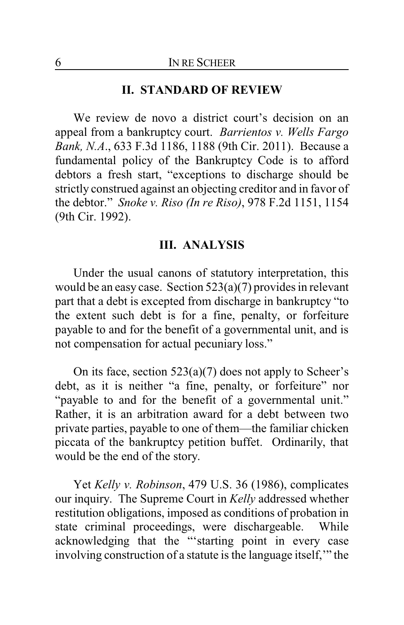#### **II. STANDARD OF REVIEW**

We review de novo a district court's decision on an appeal from a bankruptcy court. *Barrientos v. Wells Fargo Bank, N.A*., 633 F.3d 1186, 1188 (9th Cir. 2011). Because a fundamental policy of the Bankruptcy Code is to afford debtors a fresh start, "exceptions to discharge should be strictly construed against an objecting creditor and in favor of the debtor." *Snoke v. Riso (In re Riso)*, 978 F.2d 1151, 1154 (9th Cir. 1992).

#### **III. ANALYSIS**

Under the usual canons of statutory interpretation, this would be an easy case. Section 523(a)(7) provides in relevant part that a debt is excepted from discharge in bankruptcy "to the extent such debt is for a fine, penalty, or forfeiture payable to and for the benefit of a governmental unit, and is not compensation for actual pecuniary loss."

On its face, section  $523(a)(7)$  does not apply to Scheer's debt, as it is neither "a fine, penalty, or forfeiture" nor "payable to and for the benefit of a governmental unit." Rather, it is an arbitration award for a debt between two private parties, payable to one of them—the familiar chicken piccata of the bankruptcy petition buffet. Ordinarily, that would be the end of the story.

Yet *Kelly v. Robinson*, 479 U.S. 36 (1986), complicates our inquiry. The Supreme Court in *Kelly* addressed whether restitution obligations, imposed as conditions of probation in state criminal proceedings, were dischargeable. While acknowledging that the "'starting point in every case involving construction of a statute is the language itself,'" the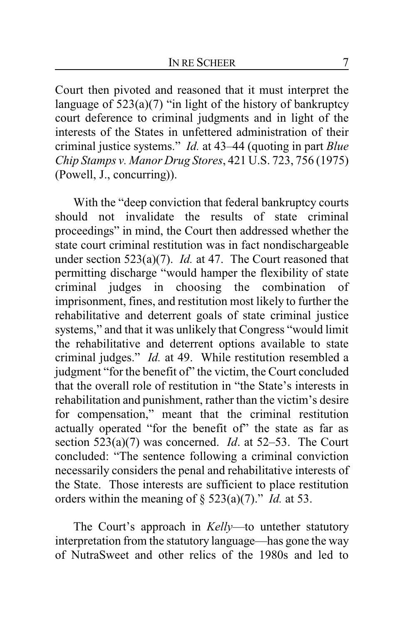Court then pivoted and reasoned that it must interpret the language of  $523(a)(7)$  "in light of the history of bankruptcy court deference to criminal judgments and in light of the interests of the States in unfettered administration of their criminal justice systems." *Id.* at 43–44 (quoting in part *Blue Chip Stamps v. Manor Drug Stores*, 421 U.S. 723, 756 (1975) (Powell, J., concurring)).

With the "deep conviction that federal bankruptcy courts should not invalidate the results of state criminal proceedings" in mind, the Court then addressed whether the state court criminal restitution was in fact nondischargeable under section 523(a)(7). *Id.* at 47. The Court reasoned that permitting discharge "would hamper the flexibility of state criminal judges in choosing the combination of imprisonment, fines, and restitution most likely to further the rehabilitative and deterrent goals of state criminal justice systems," and that it was unlikely that Congress "would limit the rehabilitative and deterrent options available to state criminal judges." *Id.* at 49. While restitution resembled a judgment "for the benefit of" the victim, the Court concluded that the overall role of restitution in "the State's interests in rehabilitation and punishment, rather than the victim's desire for compensation," meant that the criminal restitution actually operated "for the benefit of" the state as far as section 523(a)(7) was concerned. *Id*. at 52–53. The Court concluded: "The sentence following a criminal conviction necessarily considers the penal and rehabilitative interests of the State. Those interests are sufficient to place restitution orders within the meaning of § 523(a)(7)." *Id.* at 53.

The Court's approach in *Kelly*—to untether statutory interpretation from the statutory language—has gone the way of NutraSweet and other relics of the 1980s and led to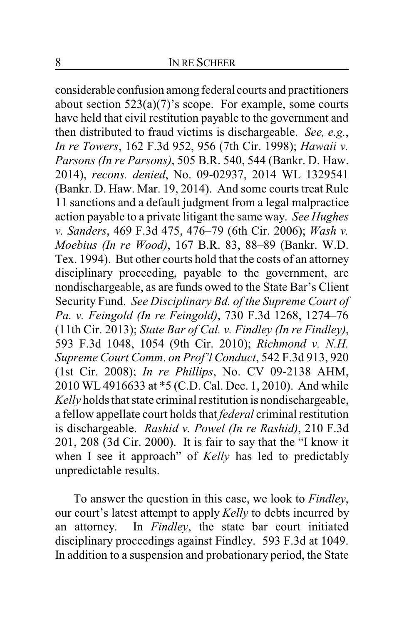considerable confusion among federal courts and practitioners about section  $523(a)(7)$ 's scope. For example, some courts have held that civil restitution payable to the government and then distributed to fraud victims is dischargeable. *See, e.g.*, *In re Towers*, 162 F.3d 952, 956 (7th Cir. 1998); *Hawaii v. Parsons (In re Parsons)*, 505 B.R. 540, 544 (Bankr. D. Haw. 2014), *recons. denied*, No. 09-02937, 2014 WL 1329541 (Bankr. D. Haw. Mar. 19, 2014). And some courts treat Rule 11 sanctions and a default judgment from a legal malpractice action payable to a private litigant the same way. *See Hughes v. Sanders*, 469 F.3d 475, 476–79 (6th Cir. 2006); *Wash v. Moebius (In re Wood)*, 167 B.R. 83, 88–89 (Bankr. W.D. Tex. 1994). But other courts hold that the costs of an attorney disciplinary proceeding, payable to the government, are nondischargeable, as are funds owed to the State Bar's Client Security Fund. *See Disciplinary Bd. of the Supreme Court of Pa. v. Feingold (In re Feingold)*, 730 F.3d 1268, 1274–76 (11th Cir. 2013); *State Bar of Cal. v. Findley (In re Findley)*, 593 F.3d 1048, 1054 (9th Cir. 2010); *Richmond v. N.H. Supreme Court Comm*. *on Prof'l Conduct*, 542 F.3d 913, 920 (1st Cir. 2008); *In re Phillips*, No. CV 09-2138 AHM, 2010 WL 4916633 at \*5 (C.D. Cal. Dec. 1, 2010). And while *Kelly* holds that state criminal restitution is nondischargeable, a fellow appellate court holds that *federal* criminal restitution is dischargeable. *Rashid v. Powel (In re Rashid)*, 210 F.3d 201, 208 (3d Cir. 2000). It is fair to say that the "I know it when I see it approach" of *Kelly* has led to predictably unpredictable results.

To answer the question in this case, we look to *Findley*, our court's latest attempt to apply *Kelly* to debts incurred by an attorney. In *Findley*, the state bar court initiated disciplinary proceedings against Findley. 593 F.3d at 1049. In addition to a suspension and probationary period, the State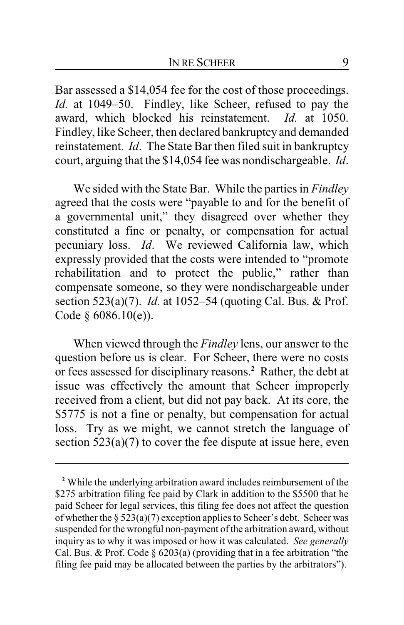Bar assessed a \$14,054 fee for the cost of those proceedings. *Id.* at 1049–50. Findley, like Scheer, refused to pay the award, which blocked his reinstatement. *Id.* at 1050. Findley, like Scheer, then declared bankruptcy and demanded reinstatement. *Id*. The State Bar then filed suit in bankruptcy court, arguing that the \$14,054 fee was nondischargeable. *Id*.

We sided with the State Bar. While the parties in *Findley* agreed that the costs were "payable to and for the benefit of a governmental unit," they disagreed over whether they constituted a fine or penalty, or compensation for actual pecuniary loss. *Id*. We reviewed California law, which expressly provided that the costs were intended to "promote rehabilitation and to protect the public," rather than compensate someone, so they were nondischargeable under section 523(a)(7). *Id.* at 1052–54 (quoting Cal. Bus. & Prof. Code § 6086.10(e)).

When viewed through the *Findley* lens, our answer to the question before us is clear. For Scheer, there were no costs or fees assessed for disciplinary reasons.**<sup>2</sup>** Rather, the debt at issue was effectively the amount that Scheer improperly received from a client, but did not pay back. At its core, the \$5775 is not a fine or penalty, but compensation for actual loss. Try as we might, we cannot stretch the language of section  $523(a)(7)$  to cover the fee dispute at issue here, even

**<sup>2</sup>** While the underlying arbitration award includes reimbursement of the \$275 arbitration filing fee paid by Clark in addition to the \$5500 that he paid Scheer for legal services, this filing fee does not affect the question of whether the  $\S 523(a)(7)$  exception applies to Scheer's debt. Scheer was suspended for the wrongful non-payment of the arbitration award, without inquiry as to why it was imposed or how it was calculated. *See generally* Cal. Bus. & Prof. Code § 6203(a) (providing that in a fee arbitration "the filing fee paid may be allocated between the parties by the arbitrators").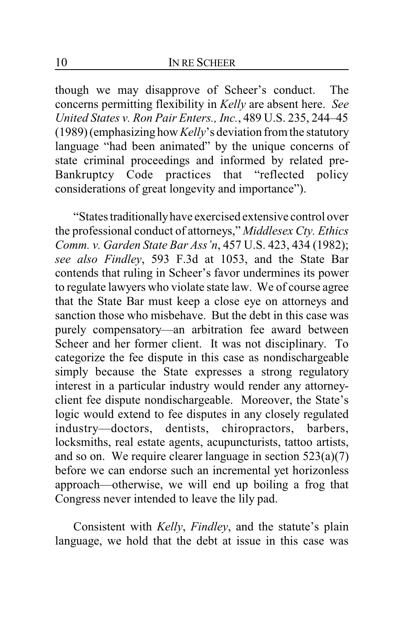though we may disapprove of Scheer's conduct. The concerns permitting flexibility in *Kelly* are absent here. *See United States v. Ron Pair Enters., Inc.*, 489 U.S. 235, 244–45 (1989) (emphasizing how *Kelly*'s deviation from the statutory language "had been animated" by the unique concerns of state criminal proceedings and informed by related pre-Bankruptcy Code practices that "reflected policy considerations of great longevity and importance").

"States traditionallyhave exercised extensive control over the professional conduct of attorneys," *Middlesex Cty. Ethics Comm. v. Garden State Bar Ass'n*, 457 U.S. 423, 434 (1982); *see also Findley*, 593 F.3d at 1053, and the State Bar contends that ruling in Scheer's favor undermines its power to regulate lawyers who violate state law. We of course agree that the State Bar must keep a close eye on attorneys and sanction those who misbehave. But the debt in this case was purely compensatory—an arbitration fee award between Scheer and her former client. It was not disciplinary. To categorize the fee dispute in this case as nondischargeable simply because the State expresses a strong regulatory interest in a particular industry would render any attorneyclient fee dispute nondischargeable. Moreover, the State's logic would extend to fee disputes in any closely regulated industry—doctors, dentists, chiropractors, barbers, locksmiths, real estate agents, acupuncturists, tattoo artists, and so on. We require clearer language in section 523(a)(7) before we can endorse such an incremental yet horizonless approach—otherwise, we will end up boiling a frog that Congress never intended to leave the lily pad.

Consistent with *Kelly*, *Findley*, and the statute's plain language, we hold that the debt at issue in this case was